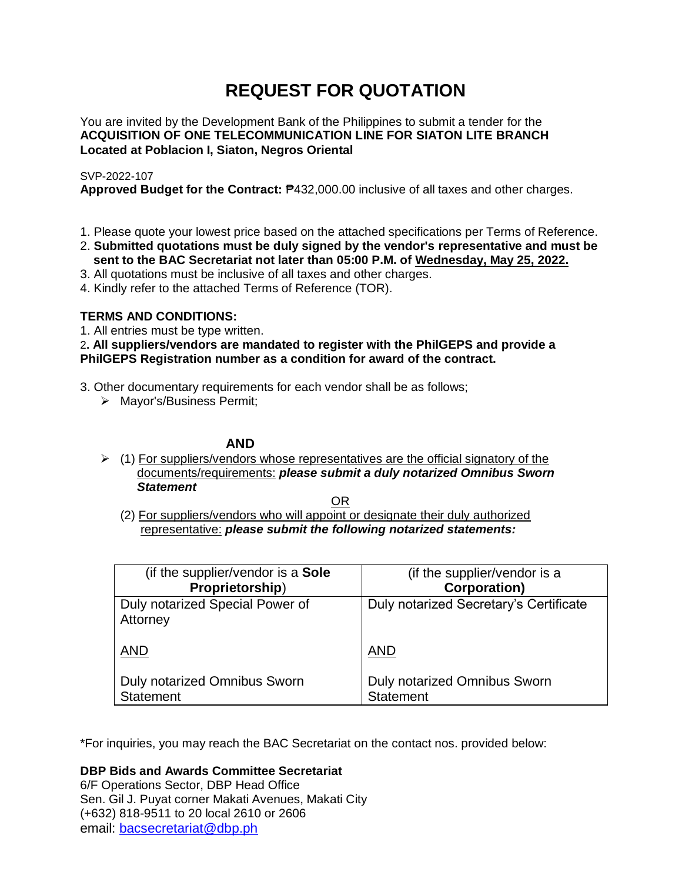# **REQUEST FOR QUOTATION**

You are invited by the Development Bank of the Philippines to submit a tender for the **ACQUISITION OF ONE TELECOMMUNICATION LINE FOR SIATON LITE BRANCH Located at Poblacion I, Siaton, Negros Oriental**

# SVP-2022-107

**Approved Budget for the Contract:** ₱432,000.00 inclusive of all taxes and other charges.

- 1. Please quote your lowest price based on the attached specifications per Terms of Reference.
- 2. **Submitted quotations must be duly signed by the vendor's representative and must be sent to the BAC Secretariat not later than 05:00 P.M. of Wednesday, May 25, 2022.**
- 3. All quotations must be inclusive of all taxes and other charges.
- 4. Kindly refer to the attached Terms of Reference (TOR).

# **TERMS AND CONDITIONS:**

1. All entries must be type written.

2**. All suppliers/vendors are mandated to register with the PhilGEPS and provide a PhilGEPS Registration number as a condition for award of the contract.**

- 3. Other documentary requirements for each vendor shall be as follows;
	- > Mayor's/Business Permit;

# **AND**

 $\geq$  (1) For suppliers/vendors whose representatives are the official signatory of the documents/requirements: *please submit a duly notarized Omnibus Sworn Statement*

<u>OR Starting and the Starting OR Starting</u>

(2) For suppliers/vendors who will appoint or designate their duly authorized representative: *please submit the following notarized statements:*

| (if the supplier/vendor is a Sole                | (if the supplier/vendor is a                     |
|--------------------------------------------------|--------------------------------------------------|
| Proprietorship)                                  | <b>Corporation)</b>                              |
| Duly notarized Special Power of<br>Attorney      | Duly notarized Secretary's Certificate           |
| <b>AND</b>                                       | <b>AND</b>                                       |
| Duly notarized Omnibus Sworn<br><b>Statement</b> | Duly notarized Omnibus Sworn<br><b>Statement</b> |

\*For inquiries, you may reach the BAC Secretariat on the contact nos. provided below:

**DBP Bids and Awards Committee Secretariat** 

6/F Operations Sector, DBP Head Office Sen. Gil J. Puyat corner Makati Avenues, Makati City (+632) 818-9511 to 20 local 2610 or 2606 email: [bacsecretariat@dbp.ph](mailto:bacsecretariat@dbp.ph)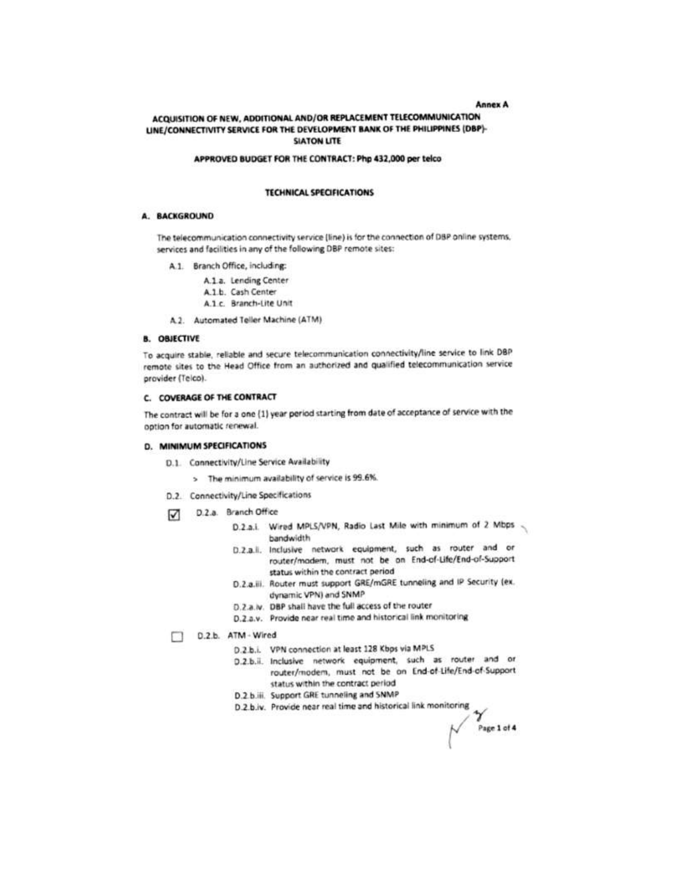#### **Annex A**

Page 1 of 4

## ACQUISITION OF NEW, ADDITIONAL AND/OR REPLACEMENT TELECOMMUNICATION LINE/CONNECTIVITY SERVICE FOR THE DEVELOPMENT BANK OF THE PHILIPPINES (DBP)-**SIATON LITE**

#### APPROVED BUDGET FOR THE CONTRACT: Php 432,000 per telco

#### **TECHNICAL SPECIFICATIONS**

#### A. BACKGROUND

The telecommunication connectivity service (line) is for the connection of DBP online systems. services and facilities in any of the following DBP remote sites:

- A.1. Branch Office, including:
	- A.1.a. Lending Center A.1.b. Cash Center
	- A.1 c. Branch-Lite Unit
- A.2. Automated Teller Machine (ATM)

### **B. OBJECTIVE**

To acquire stable, reliable and secure telecommunication connectivity/line service to link DBP remote sites to the Head Office from an authorized and qualified telecommunication service provider (Telco).

#### C. COVERAGE OF THE CONTRACT

The contract will be for a one (1) year period starting from date of acceptance of service with the option for automatic renewal.

#### D. MINIMUM SPECIFICATIONS

- D.1. Connectivity/Line Service Availability
	- > The minimum availability of service is 99.6%.
- D.2. Connectivity/Line Specifications
- D.2.a. Branch Office М
	- D.2.a.i. Wired MPLS/VPN, Radio Last Mile with minimum of 2 Mbps bandwidth
	- D.2.a.ii. Inclusive network equipment, such as router and or router/modem, must not be on End-of-Life/End-of-Support status within the contract period
	- D.2.a.iii. Router must support GRE/mGRE tunneling and IP Security (ex. dynamic VPN) and SNMP
	- D.2.a.iv. DBP shall have the full access of the router
	- D.2.a.v. Provide near real time and historical link monitoring
- D.2.b. ATM Wired
	- D.2.b.i. VPN connection at least 128 Kbps via MPLS
	- D.2.b.ii. Inclusive network equipment, such as router and or router/modem, must not be on End-of-Life/End-of-Support status within the contract period
	- D.2.b.iii. Support GRE tunneling and SNMP
	- D.2.b.iv. Provide near real time and historical link monitoring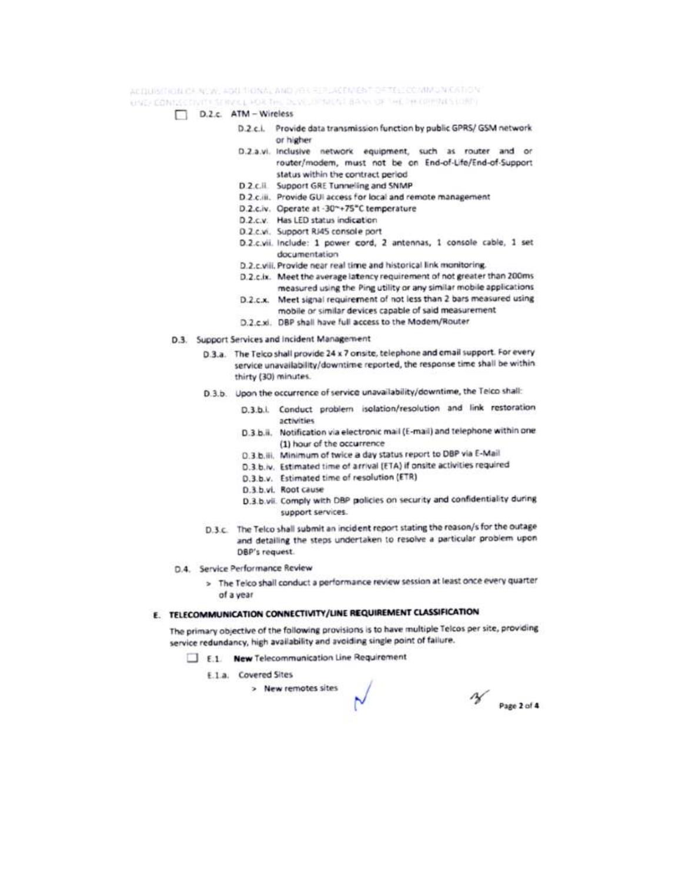ACTIOIS(TICIA CANCIN) ADDITIONAL AND YOUR IPLACEMENT DETELL COMMUNICATION

UNE CONSECTIVITY SERVICE FOR THE DEVELOPMENT BANK OF THE PHOPPING LOBD.

- D.2.c. ATM Wireless
	- D.2.c.i. Provide data transmission function by public GPRS/ GSM network or higher
	- D.2.a.vi. Inclusive network equipment, such as router and or router/modem, must not be on End-of-Life/End-of-Support status within the contract period
	- D.2.c.ll. Support GRE Tunneling and SNMP
	- D.2.c.iii. Provide GUI access for local and remote management
	- D.2.c.iv. Operate at -30~+75°C temperature
	- D.2.c.v. Has LED status indication
	- D.2.c.vi. Support RJ45 console port
	- D.2.c.vii. Include: 1 power cord, 2 antennas, 1 console cable, 1 set documentation
	- D.2.c.viii. Provide near real time and historical link monitoring.
	- D.2.c.ix. Meet the average latency requirement of not greater than 200ms measured using the Ping utility or any similar mobile applications
	- D.2.c.x. Meet signal requirement of not less than 2 bars measured using mobile or similar devices capable of said measurement
	- D.2.c.xi. DBP shall have full access to the Modem/Router
- D.3. Support Services and Incident Management
	- D.3.a. The Telco shall provide 24 x 7 onsite, telephone and email support. For every service unavailability/downtime reported, the response time shall be within thirty (30) minutes.
	- D.3.b. Upon the occurrence of service unavailability/downtime, the Telco shall:
		- D.3.b.i. Conduct problem isolation/resolution and link restoration activities
		- D.3.b.ii. Notification via electronic mail (E-mail) and telephone within one (1) hour of the occurrence
		- D.3.b.iii. Minimum of twice a day status report to DBP via E-Mail
		- D.3.b.iv. Estimated time of arrival (ETA) if onsite activities required
		- D.3.b.v. Estimated time of resolution (ETR)
		- D.3.b.vl. Root cause
		- D.3.b.vii. Comply with DBP policies on security and confidentiality during support services.
	- D.3.c. The Telco shall submit an incident report stating the reason/s for the outage and detailing the steps undertaken to resolve a particular problem upon DBP's request.
- D.4. Service Performance Review
	- > The Telco shall conduct a performance review session at least once every quarter of a year

# E. TELECOMMUNICATION CONNECTIVITY/UNE REQUIREMENT CLASSIFICATION

The primary objective of the following provisions is to have multiple Telcos per site, providing service redundancy, high availability and avoiding single point of failure.

E.1. New Telecommunication Line Requirement

E.1.a. Covered Sites

> New remotes sites

 $\frac{1}{2}$  Page 2 of 4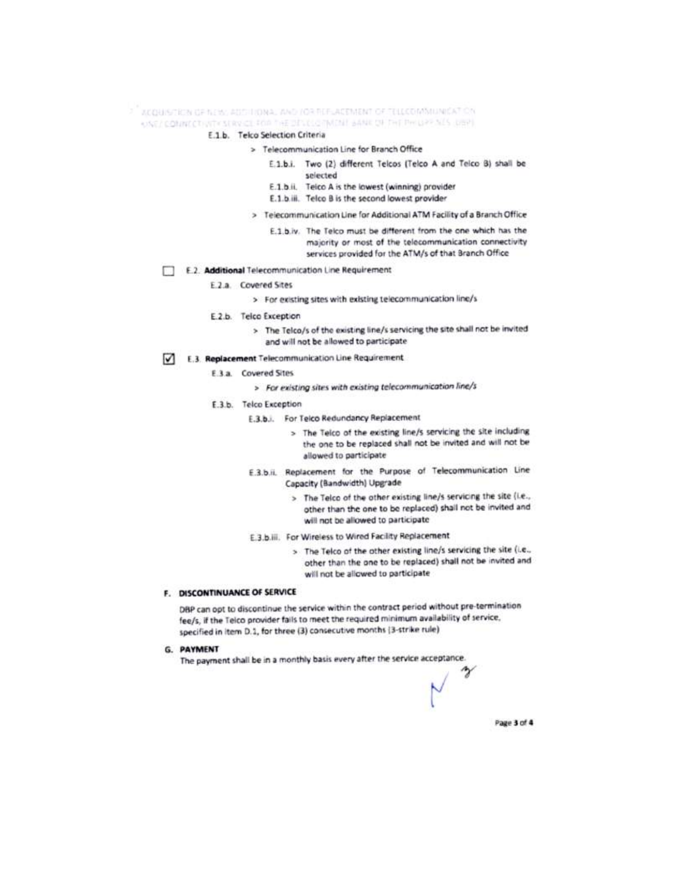## <sup>3. "</sup> ACQUISITION OF NEW ADDITIONAL WAD LOS REFLACEMENT OF TELLCOMMUNICATION ONE/ COMMECTIVITY STRY-CE FOR THE DEVELOPMENT BANK OF THE PHILLEP NES LIBRE

## E.1.b. Telco Selection Criteria

- > Telecommunication Line for Branch Office
	- E.1.b.i. Two (2) different Telcos (Telco A and Telco B) shall be splected
	- E.1.b.ii. Telco A is the lowest (winning) provider
	- E.1.b.iii. Telco B is the second lowest provider
	- > Telecommunication Line for Additional ATM Facility of a Branch Office
		- E.1.b.iv. The Telco must be different from the one which has the majority or most of the telecommunication connectivity services provided for the ATM/s of that Branch Office
- E.2. Additional Telecommunication Line Requirement
	- E.2.a. Covered Sites
		- > For existing sites with existing telecommunication line/s
	- E.2.b. Telco Exception
		- > The Telco/s of the existing line/s servicing the site shall not be invited and will not be allowed to participate
- E.3. Replacement Telecommunication Line Requirement
	- E.3.a. Covered Sites
		- > For existing sites with existing telecommunication line/s
	- E.3.b. Telco Exception
		- E.3.b.i. For Telco Redundancy Replacement
			- > The Telco of the existing line/s servicing the site including the one to be replaced shall not be invited and will not be allowed to participate
		- E.3.b.ii. Replacement for the Purpose of Telecommunication Line Capacity (Bandwidth) Upgrade
			- > The Telco of the other existing line/s servicing the site (i.e., other than the one to be replaced) shall not be invited and will not be allowed to participate
		- E.3.b.iii. For Wireless to Wired Facility Replacement
			- > The Telco of the other existing line/s servicing the site (i.e., other than the one to be replaced) shall not be invited and will not be allowed to participate

## F. DISCONTINUANCE OF SERVICE

DBP can opt to discontinue the service within the contract period without pre-termination fee/s, if the Telco provider fails to meet the required minimum availability of service, specified in item D.1, for three (3) consecutive months (3-strike rule)

G. PAYMENT

The payment shall be in a monthly basis every after the service acceptance.

Page 3 of 4